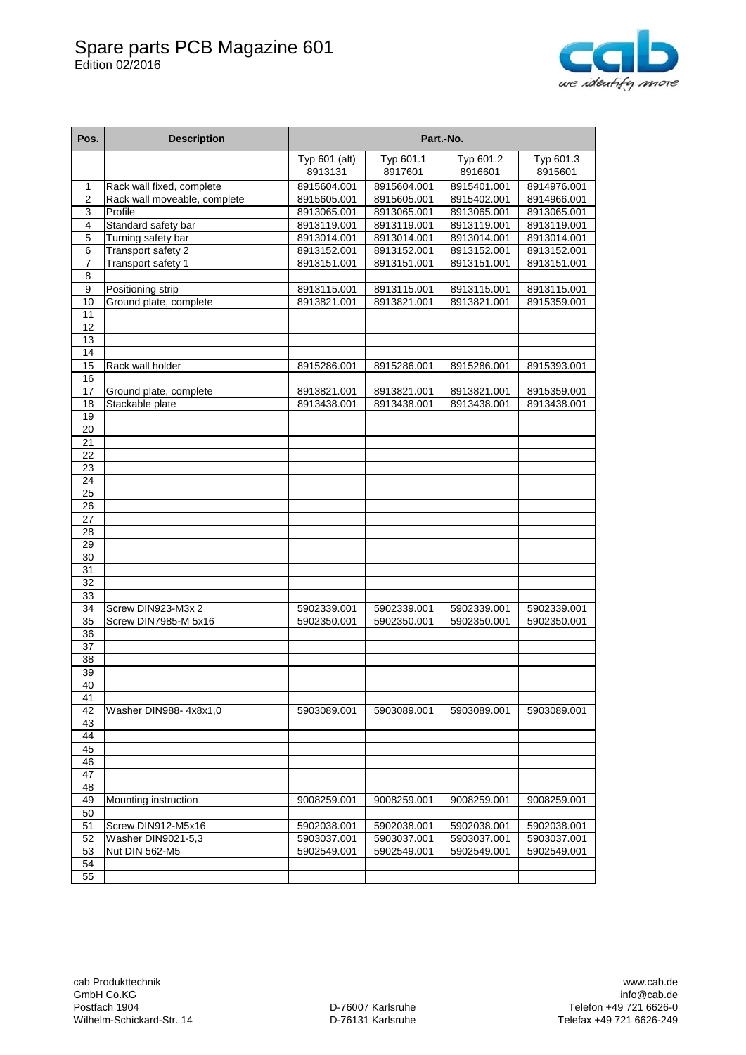## Spare parts PCB Magazine 601 Edition 02/2016



| Pos.                  | <b>Description</b>           | Part.-No.                |                      |                      |                      |
|-----------------------|------------------------------|--------------------------|----------------------|----------------------|----------------------|
|                       |                              | Typ 601 (alt)<br>8913131 | Typ 601.1<br>8917601 | Typ 601.2<br>8916601 | Typ 601.3<br>8915601 |
| 1                     | Rack wall fixed, complete    | 8915604.001              | 8915604.001          | 8915401.001          | 8914976.001          |
| $\overline{2}$        | Rack wall moveable, complete | 8915605.001              | 8915605.001          | 8915402.001          | 8914966.001          |
| $\overline{3}$        | Profile                      | 8913065.001              | 8913065.001          | 8913065.001          | 8913065.001          |
| 4                     | Standard safety bar          | 8913119.001              | 8913119.001          | 8913119.001          | 8913119.001          |
| 5                     | Turning safety bar           | 8913014.001              | 8913014.001          | 8913014.001          | 8913014.001          |
| 6                     | Transport safety 2           | 8913152.001              | 8913152.001          | 8913152.001          | 8913152.001          |
| 7                     | Transport safety 1           | 8913151.001              | 8913151.001          | 8913151.001          | 8913151.001          |
| 8                     |                              |                          |                      |                      |                      |
| 9                     | Positioning strip            | 8913115.001              | 8913115.001          | 8913115.001          | 8913115.001          |
| 10                    | Ground plate, complete       | 8913821.001              | 8913821.001          | 8913821.001          | 8915359.001          |
| 11                    |                              |                          |                      |                      |                      |
| 12                    |                              |                          |                      |                      |                      |
| 13                    |                              |                          |                      |                      |                      |
| 14                    |                              |                          |                      |                      |                      |
| 15<br>16              | Rack wall holder             | 8915286.001              | 8915286.001          | 8915286.001          | 8915393.001          |
| 17                    | Ground plate, complete       | 8913821.001              | 8913821.001          | 8913821.001          | 8915359.001          |
| 18                    | Stackable plate              | 8913438.001              | 8913438.001          | 8913438.001          | 8913438.001          |
| 19                    |                              |                          |                      |                      |                      |
| 20                    |                              |                          |                      |                      |                      |
| 21                    |                              |                          |                      |                      |                      |
| 22                    |                              |                          |                      |                      |                      |
| 23                    |                              |                          |                      |                      |                      |
| 24                    |                              |                          |                      |                      |                      |
| $\overline{25}$       |                              |                          |                      |                      |                      |
| 26                    |                              |                          |                      |                      |                      |
| 27                    |                              |                          |                      |                      |                      |
| 28                    |                              |                          |                      |                      |                      |
| 29                    |                              |                          |                      |                      |                      |
| 30                    |                              |                          |                      |                      |                      |
| 31                    |                              |                          |                      |                      |                      |
| 32                    |                              |                          |                      |                      |                      |
| 33                    |                              |                          |                      |                      |                      |
| 34                    | Screw DIN923-M3x 2           | 5902339.001              | 5902339.001          | 5902339.001          | 5902339.001          |
| 35                    | Screw DIN7985-M 5x16         | 5902350.001              | 5902350.001          | 5902350.001          | 5902350.001          |
| 36                    |                              |                          |                      |                      |                      |
| 37                    |                              |                          |                      |                      |                      |
| $\overline{38}$<br>39 |                              |                          |                      |                      |                      |
| 40                    |                              |                          |                      |                      |                      |
| 41                    |                              |                          |                      |                      |                      |
| 42                    | Washer DIN988- 4x8x1.0       | 5903089.001              | 5903089.001          | 5903089.001          | 5903089.001          |
| 43                    |                              |                          |                      |                      |                      |
| 44                    |                              |                          |                      |                      |                      |
| 45                    |                              |                          |                      |                      |                      |
| 46                    |                              |                          |                      |                      |                      |
| 47                    |                              |                          |                      |                      |                      |
| 48                    |                              |                          |                      |                      |                      |
| 49                    | Mounting instruction         | 9008259.001              | 9008259.001          | 9008259.001          | 9008259.001          |
| 50                    |                              |                          |                      |                      |                      |
| 51                    | Screw DIN912-M5x16           | 5902038.001              | 5902038.001          | 5902038.001          | 5902038.001          |
| 52                    | Washer DIN9021-5,3           | 5903037.001              | 5903037.001          | 5903037.001          | 5903037.001          |
| 53                    | Nut DIN 562-M5               | 5902549.001              | 5902549.001          | 5902549.001          | 5902549.001          |
| 54                    |                              |                          |                      |                      |                      |
| 55                    |                              |                          |                      |                      |                      |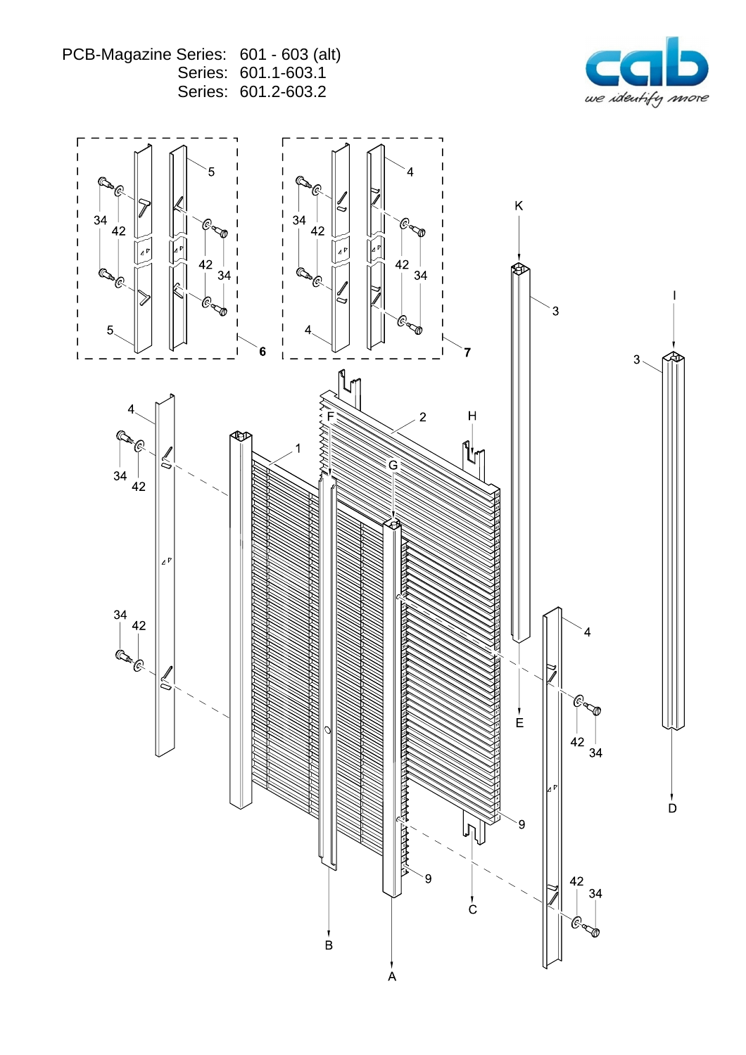PCB-Magazine Series: 601 - 603 (alt)<br>Series: 601.1-603.1 Series: 601.2-603.2



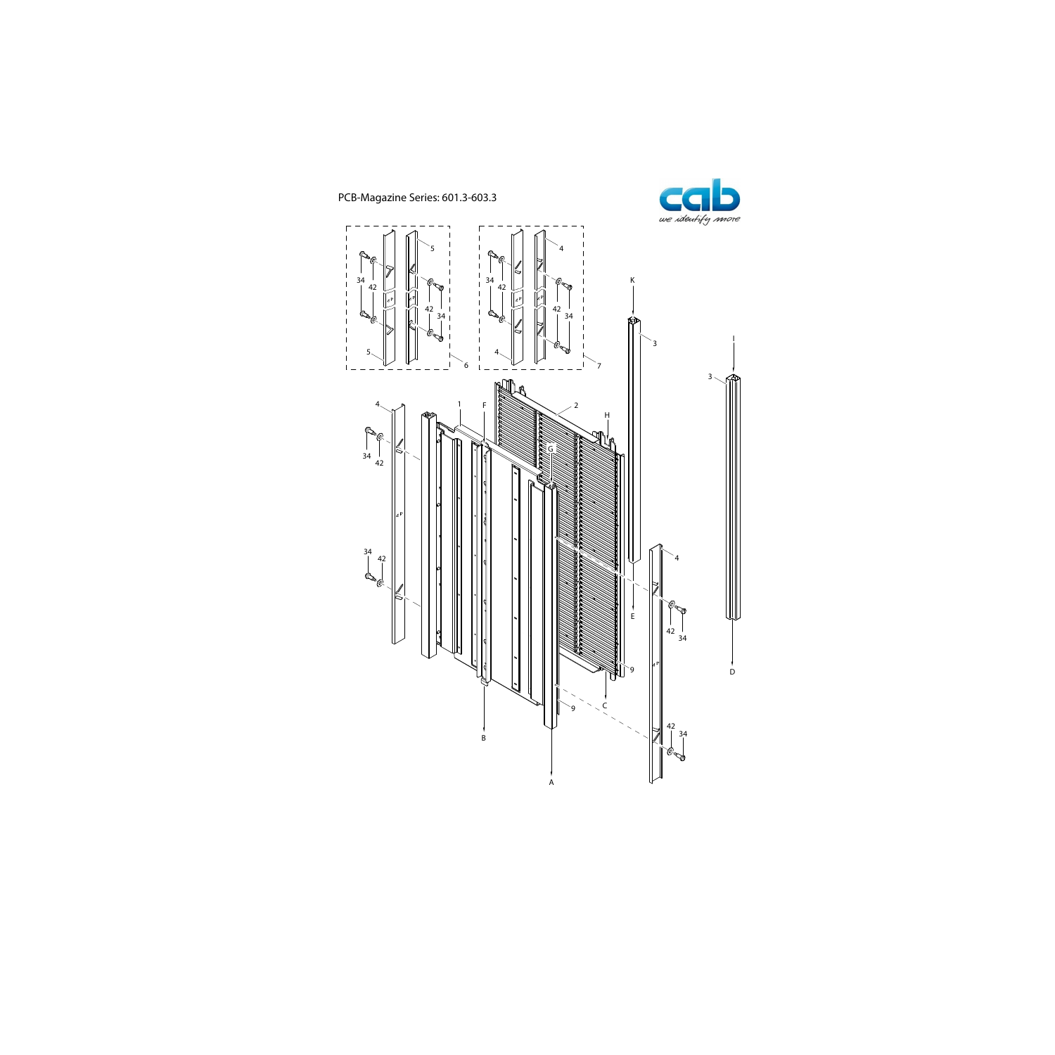